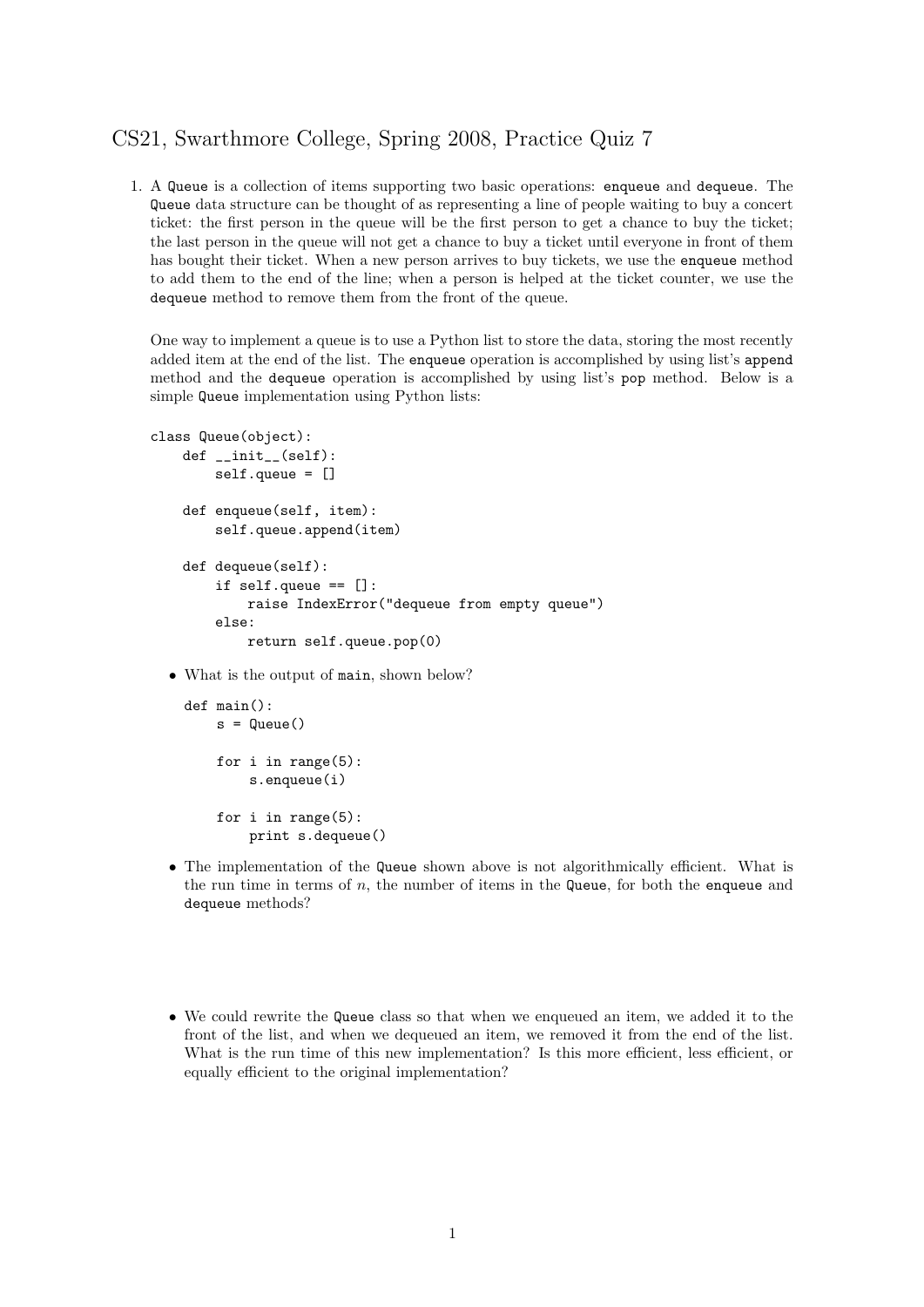## CS21, Swarthmore College, Spring 2008, Practice Quiz 7

1. A Queue is a collection of items supporting two basic operations: enqueue and dequeue. The Queue data structure can be thought of as representing a line of people waiting to buy a concert ticket: the first person in the queue will be the first person to get a chance to buy the ticket; the last person in the queue will not get a chance to buy a ticket until everyone in front of them has bought their ticket. When a new person arrives to buy tickets, we use the enqueue method to add them to the end of the line; when a person is helped at the ticket counter, we use the dequeue method to remove them from the front of the queue.

One way to implement a queue is to use a Python list to store the data, storing the most recently added item at the end of the list. The enqueue operation is accomplished by using list's append method and the dequeue operation is accomplished by using list's pop method. Below is a simple Queue implementation using Python lists:

```
class Queue(object):
    def __init__(self):
        self.queue = []
    def enqueue(self, item):
        self.queue.append(item)
    def dequeue(self):
        if self.queue == []:
            raise IndexError("dequeue from empty queue")
        else:
            return self.queue.pop(0)
```
• What is the output of main, shown below?

```
def main():
    s =Queue()
    for i in range(5):
        s.enqueue(i)
    for i in range(5):
        print s.dequeue()
```
- The implementation of the Queue shown above is not algorithmically efficient. What is the run time in terms of  $n$ , the number of items in the Queue, for both the enqueue and dequeue methods?
- We could rewrite the Queue class so that when we enqueued an item, we added it to the front of the list, and when we dequeued an item, we removed it from the end of the list. What is the run time of this new implementation? Is this more efficient, less efficient, or equally efficient to the original implementation?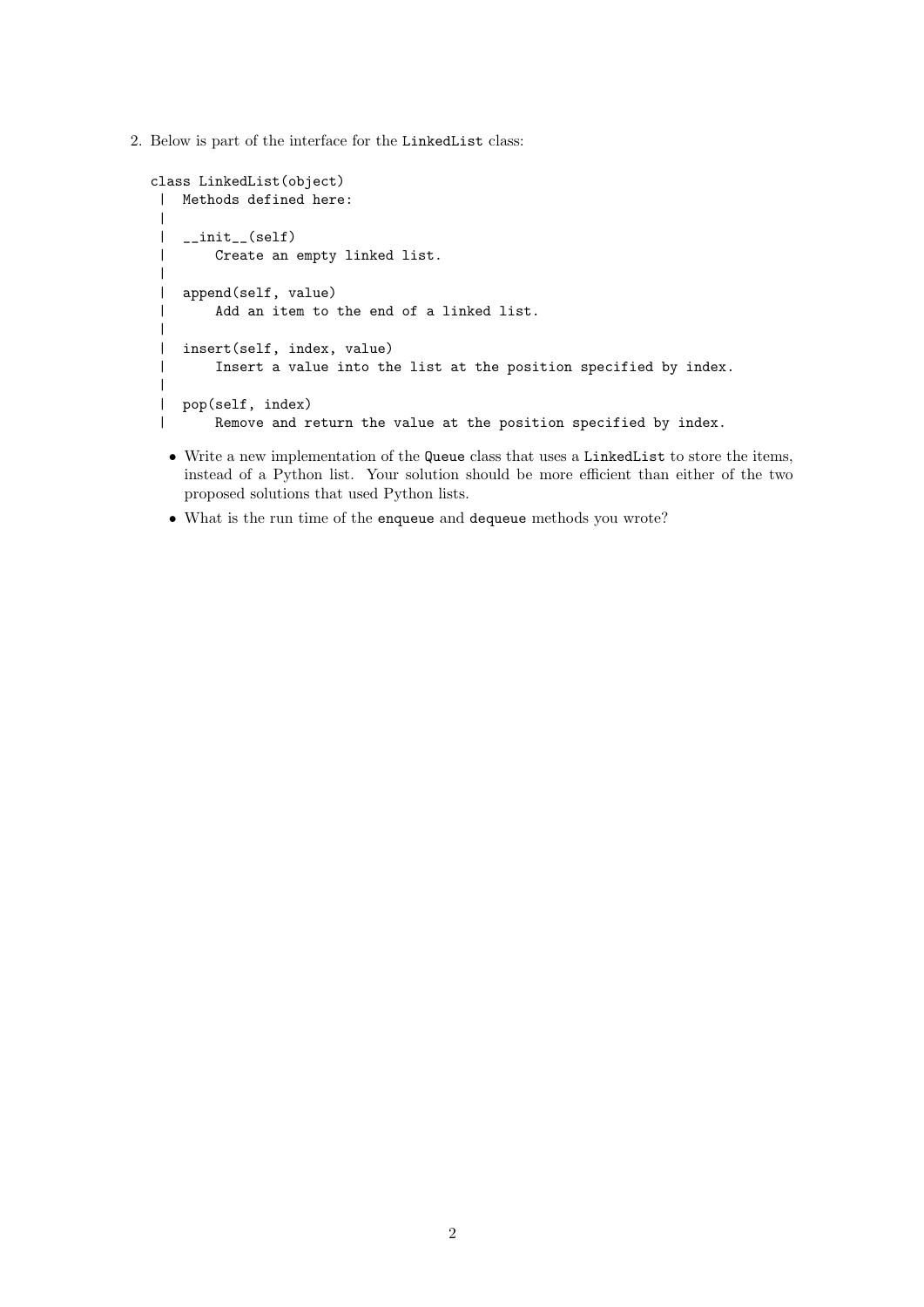2. Below is part of the interface for the LinkedList class:

```
class LinkedList(object)
| Methods defined here:
 |
| __init__(self)
 | Create an empty linked list.
\blacksquare| append(self, value)
| Add an item to the end of a linked list.
|
| insert(self, index, value)
 | Insert a value into the list at the position specified by index.
 |
| pop(self, index)
| Remove and return the value at the position specified by index.
```
- Write a new implementation of the Queue class that uses a LinkedList to store the items, instead of a Python list. Your solution should be more efficient than either of the two proposed solutions that used Python lists.
- What is the run time of the enqueue and dequeue methods you wrote?